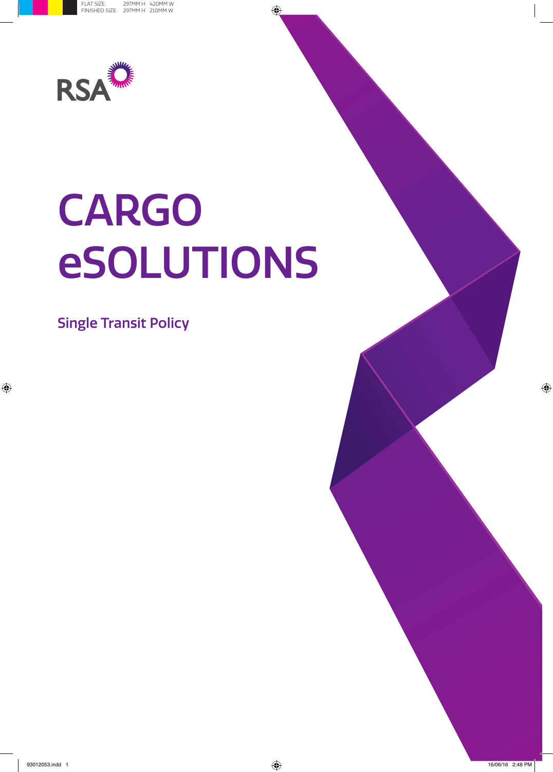

# CARGO eSOLUTIONS

Single Transit Policy

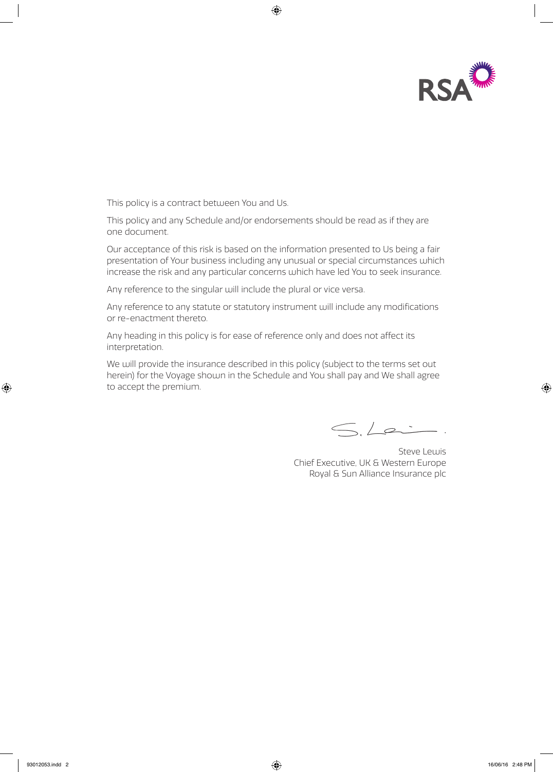

This policy is a contract between You and Us.

This policy and any Schedule and/or endorsements should be read as if they are one document.

Our acceptance of this risk is based on the information presented to Us being a fair presentation of Your business including any unusual or special circumstances which increase the risk and any particular concerns which have led You to seek insurance.

Any reference to the singular will include the plural or vice versa.

Any reference to any statute or statutory instrument will include any modifications or re-enactment thereto.

Any heading in this policy is for ease of reference only and does not affect its interpretation.

We will provide the insurance described in this policy (subject to the terms set out herein) for the Voyage shown in the Schedule and You shall pay and We shall agree to accept the premium.

 $S.La$ 

Steve Lewis Chief Executive, UK & Western Europe Royal & Sun Alliance Insurance plc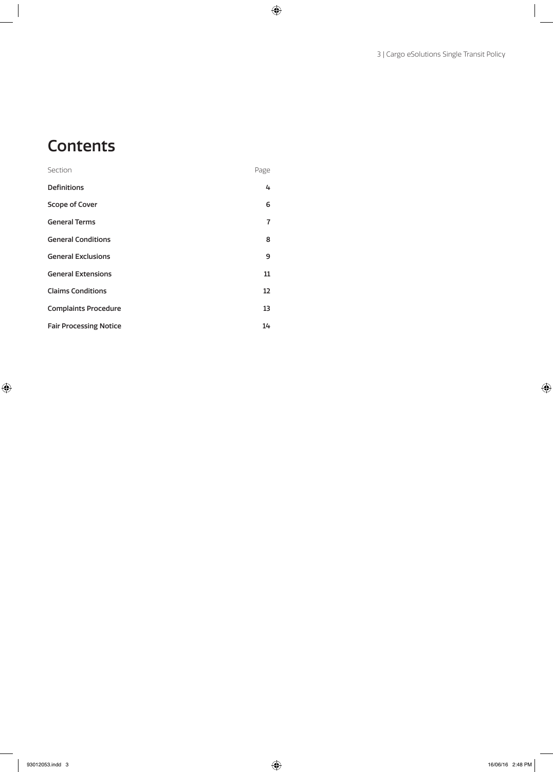# **Contents**

| Section                       | Page |
|-------------------------------|------|
| <b>Definitions</b>            | 4    |
| Scope of Cover                | 6    |
| <b>General Terms</b>          | 7    |
| <b>General Conditions</b>     | 8    |
| <b>General Exclusions</b>     | 9    |
| <b>General Extensions</b>     | 11   |
| <b>Claims Conditions</b>      | 12   |
| <b>Complaints Procedure</b>   | 13   |
| <b>Fair Processing Notice</b> | 14   |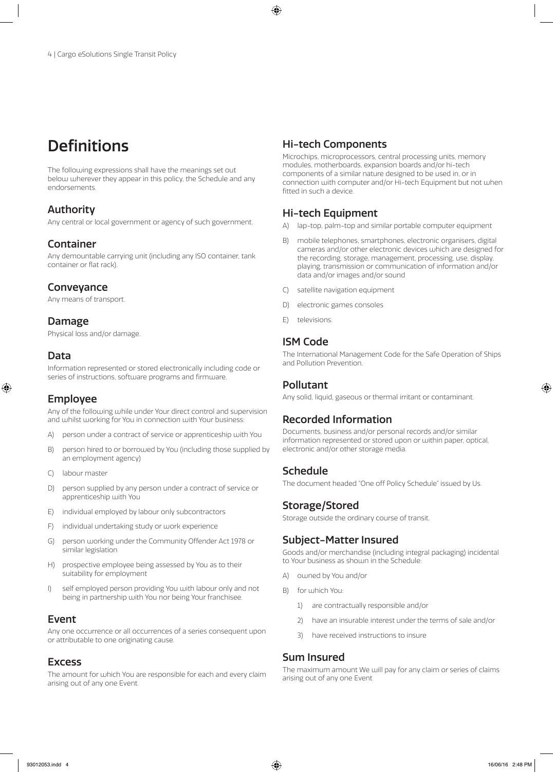# **Definitions**

The following expressions shall have the meanings set out below wherever they appear in this policy, the Schedule and any endorsements.

# Authority

Any central or local government or agency of such government.

# Container

Any demountable carrying unit (including any ISO container, tank container or flat rack).

# Conveyance

Any means of transport.

# Damage

Physical loss and/or damage.

# Data

Information represented or stored electronically including code or series of instructions, software programs and firmware.

# Employee

Any of the following while under Your direct control and supervision and whilst working for You in connection with Your business:

- A) person under a contract of service or apprenticeship with You
- B) person hired to or borrowed by You (including those supplied by an employment agency)
- C) labour master
- D) person supplied by any person under a contract of service or apprenticeship with You
- E) individual employed by labour only subcontractors
- F) individual undertaking study or work experience
- G) person working under the Community Offender Act 1978 or similar legislation
- H) prospective employee being assessed by You as to their suitability for employment
- I) self employed person providing You with labour only and not being in partnership with You nor being Your franchisee.

# Event

Any one occurrence or all occurrences of a series consequent upon or attributable to one originating cause.

## Excess

The amount for which You are responsible for each and every claim arising out of any one Event.

# Hi-tech Components

Microchips, microprocessors, central processing units, memory modules, motherboards, expansion boards and/or hi-tech components of a similar nature designed to be used in, or in connection with computer and/or Hi-tech Equipment but not when fitted in such a device.

# Hi-tech Equipment

- A) lap-top, palm-top and similar portable computer equipment
- B) mobile telephones, smartphones, electronic organisers, digital cameras and/or other electronic devices which are designed for the recording, storage, management, processing, use, display, playing, transmission or communication of information and/or data and/or images and/or sound
- C) satellite navigation equipment
- D) electronic games consoles
- E) televisions.

# ISM Code

The International Management Code for the Safe Operation of Ships and Pollution Prevention.

# Pollutant

Any solid, liquid, gaseous or thermal irritant or contaminant.

# Recorded Information

Documents, business and/or personal records and/or similar information represented or stored upon or within paper, optical, electronic and/or other storage media.

# Schedule

The document headed "One off Policy Schedule" issued by Us.

# Storage/Stored

Storage outside the ordinary course of transit.

# Subject-Matter Insured

Goods and/or merchandise (including integral packaging) incidental to Your business as shown in the Schedule:

- A) owned by You and/or
- B) for which You:
	- 1) are contractually responsible and/or
	- 2) have an insurable interest under the terms of sale and/or
	- 3) have received instructions to insure

# Sum Insured

The maximum amount We will pay for any claim or series of claims arising out of any one Event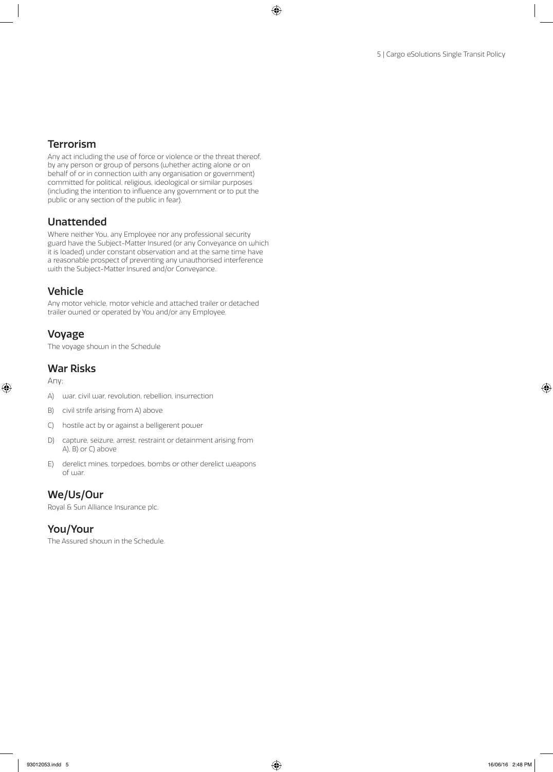# Terrorism

Any act including the use of force or violence or the threat thereof, by any person or group of persons (whether acting alone or on behalf of or in connection with any organisation or government) committed for political, religious, ideological or similar purposes (including the intention to influence any government or to put the public or any section of the public in fear).

# Unattended

Where neither You, any Employee nor any professional security guard have the Subject-Matter Insured (or any Conveyance on which it is loaded) under constant observation and at the same time have a reasonable prospect of preventing any unauthorised interference with the Subject-Matter Insured and/or Conveyance.

# Vehicle

Any motor vehicle, motor vehicle and attached trailer or detached trailer owned or operated by You and/or any Employee.

# Voyage

The voyage shown in the Schedule

## War Risks

Any:

- A) war, civil war, revolution, rebellion, insurrection
- B) civil strife arising from A) above
- C) hostile act by or against a belligerent power
- D) capture, seizure, arrest, restraint or detainment arising from A), B) or C) above
- E) derelict mines, torpedoes, bombs or other derelict weapons of war.

# We/Us/Our

Royal & Sun Alliance Insurance plc.

# You/Your

The Assured shown in the Schedule.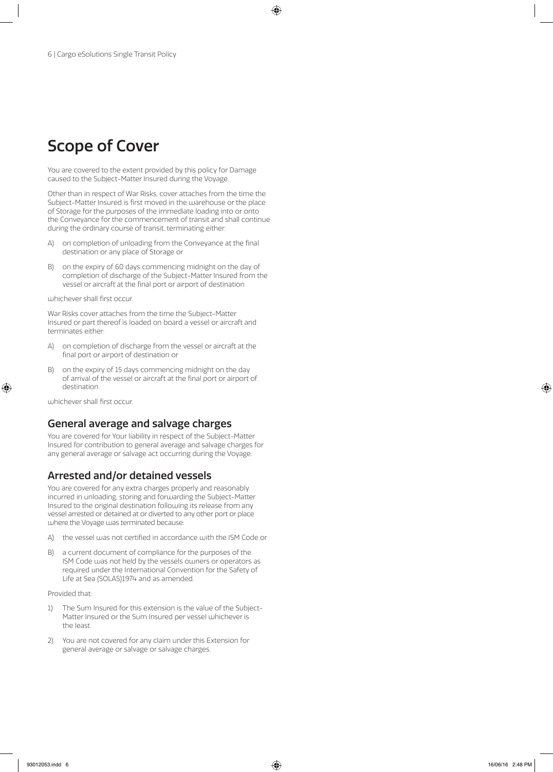# Scope of Cover

You are covered to the extent provided by this policy for Damage caused to the Subject-Matter Insured during the Voyage.

Other than in respect of War Risks, cover attaches from the time the Subject-Matter Insured is first moved in the warehouse or the place of Storage for the purposes of the immediate loading into or onto the Conveyance for the commencement of transit and shall continue during the ordinary course of transit, terminating either:

- A) on completion of unloading from the Conveyance at the final destination or any place of Storage or
- B) on the expiry of 60 days commencing midnight on the day of completion of discharge of the Subject-Matter Insured from the vessel or aircraft at the final port or airport of destination

whichever shall first occur.

War Risks cover attaches from the time the Subject-Matter Insured or part thereof is loaded on board a vessel or aircraft and terminates either:

- A) on completion of discharge from the vessel or aircraft at the final port or airport of destination or
- B) on the expiry of 15 days commencing midnight on the day of arrival of the vessel or aircraft at the final port or airport of destination

whichever shall first occur.

#### General average and salvage charges

You are covered for Your liability in respect of the Subject-Matter Insured for contribution to general average and salvage charges for any general average or salvage act occurring during the Voyage.

## Arrested and/or detained vessels

You are covered for any extra charges properly and reasonably incurred in unloading, storing and forwarding the Subject-Matter Insured to the original destination following its release from any vessel arrested or detained at or diverted to any other port or place where the Voyage was terminated because:

- A) the vessel was not certified in accordance with the ISM Code or
- B) a current document of compliance for the purposes of the ISM Code was not held by the vessels owners or operators as required under the International Convention for the Safety of Life at Sea (SOLAS)1974 and as amended.

Provided that:

- 1) The Sum Insured for this extension is the value of the Subject-Matter Insured or the Sum Insured per vessel whichever is the least.
- 2) You are not covered for any claim under this Extension for general average or salvage or salvage charges.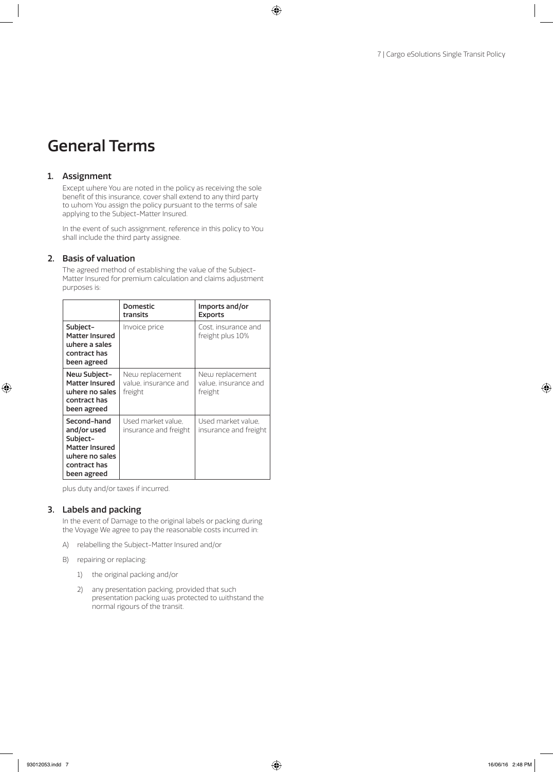# General Terms

#### 1. Assignment

Except where You are noted in the policy as receiving the sole benefit of this insurance, cover shall extend to any third party to whom You assign the policy pursuant to the terms of sale applying to the Subject-Matter Insured.

In the event of such assignment, reference in this policy to You shall include the third party assignee.

#### 2. Basis of valuation

The agreed method of establishing the value of the Subject-Matter Insured for premium calculation and claims adjustment purposes is:

|                                                                                                           | <b>Domestic</b><br>transits                        | Imports and/or<br><b>Exports</b>                   |
|-----------------------------------------------------------------------------------------------------------|----------------------------------------------------|----------------------------------------------------|
| Subject-<br><b>Matter Insured</b><br>where a sales<br>contract has<br>been agreed                         | Invoice price                                      | Cost. insurance and<br>freight plus 10%            |
| New Subject-<br><b>Matter Insured</b><br>where no sales<br>contract has<br>been agreed                    | New replacement<br>value, insurance and<br>freight | New replacement<br>value, insurance and<br>freight |
| Second-hand<br>and/or used<br>Subject-<br>Matter Insured<br>where no sales<br>contract has<br>been agreed | Used market value.<br>insurance and freight        | Used market value.<br>insurance and freight        |

plus duty and/or taxes if incurred.

#### 3. Labels and packing

In the event of Damage to the original labels or packing during the Voyage We agree to pay the reasonable costs incurred in:

- A) relabelling the Subject-Matter Insured and/or
- B) repairing or replacing:
	- 1) the original packing and/or
	- 2) any presentation packing, provided that such presentation packing was protected to withstand the normal rigours of the transit.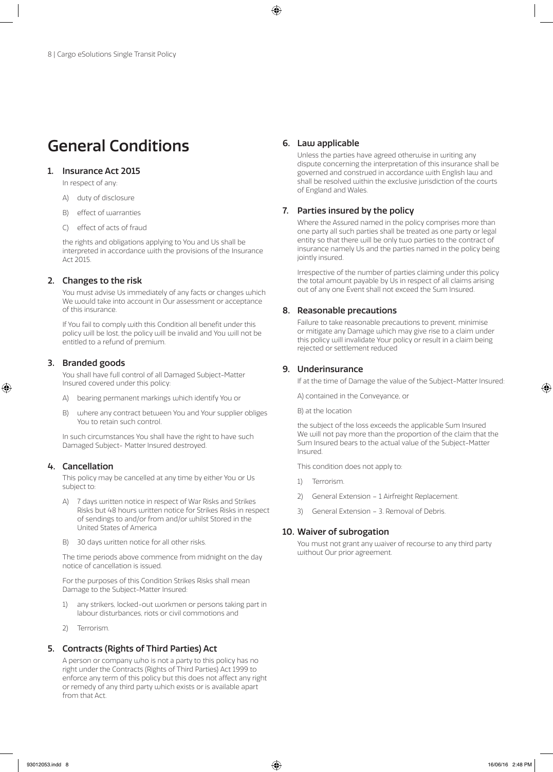# General Conditions

#### 1. Insurance Act 2015

In respect of any:

- A) duty of disclosure
- B) effect of warranties
- C) effect of acts of fraud

the rights and obligations applying to You and Us shall be interpreted in accordance with the provisions of the Insurance Act 2015.

#### 2. Changes to the risk

You must advise Us immediately of any facts or changes which We would take into account in Our assessment or acceptance of this insurance.

If You fail to comply with this Condition all benefit under this policy will be lost, the policy will be invalid and You will not be entitled to a refund of premium.

#### 3. Branded goods

You shall have full control of all Damaged Subject-Matter Insured covered under this policy:

- A) bearing permanent markings which identify You or
- B) where any contract between You and Your supplier obliges You to retain such control.

In such circumstances You shall have the right to have such Damaged Subject- Matter Insured destroyed.

#### 4. Cancellation

This policy may be cancelled at any time by either You or Us subject to:

- A) 7 days written notice in respect of War Risks and Strikes Risks but 48 hours written notice for Strikes Risks in respect of sendings to and/or from and/or whilst Stored in the United States of America
- B) 30 days written notice for all other risks.

The time periods above commence from midnight on the day notice of cancellation is issued.

For the purposes of this Condition Strikes Risks shall mean Damage to the Subject-Matter Insured:

- 1) any strikers, locked-out workmen or persons taking part in labour disturbances, riots or civil commotions and
- 2) Terrorism.

# 5. Contracts (Rights of Third Parties) Act

A person or company who is not a party to this policy has no right under the Contracts (Rights of Third Parties) Act 1999 to enforce any term of this policy but this does not affect any right or remedy of any third party which exists or is available apart from that Act.

#### 6. Law applicable

Unless the parties have agreed otherwise in writing any dispute concerning the interpretation of this insurance shall be governed and construed in accordance with English law and shall be resolved within the exclusive jurisdiction of the courts of England and Wales.

#### 7. Parties insured by the policy

Where the Assured named in the policy comprises more than one party all such parties shall be treated as one party or legal entity so that there will be only two parties to the contract of insurance namely Us and the parties named in the policy being jointly insured.

Irrespective of the number of parties claiming under this policy the total amount payable by Us in respect of all claims arising out of any one Event shall not exceed the Sum Insured.

#### 8. Reasonable precautions

Failure to take reasonable precautions to prevent, minimise or mitigate any Damage which may give rise to a claim under this policy will invalidate Your policy or result in a claim being rejected or settlement reduced

#### 9. Underinsurance

If at the time of Damage the value of the Subject-Matter Insured:

A) contained in the Conveyance, or

B) at the location

the subject of the loss exceeds the applicable Sum Insured We will not pay more than the proportion of the claim that the Sum Insured bears to the actual value of the Subject-Matter Insured.

This condition does not apply to:

- 1) Terrorism.
- 2) General Extension 1 Airfreight Replacement.
- 3) General Extension 3. Removal of Debris.

#### 10. Waiver of subrogation

You must not grant any waiver of recourse to any third party without Our prior agreement.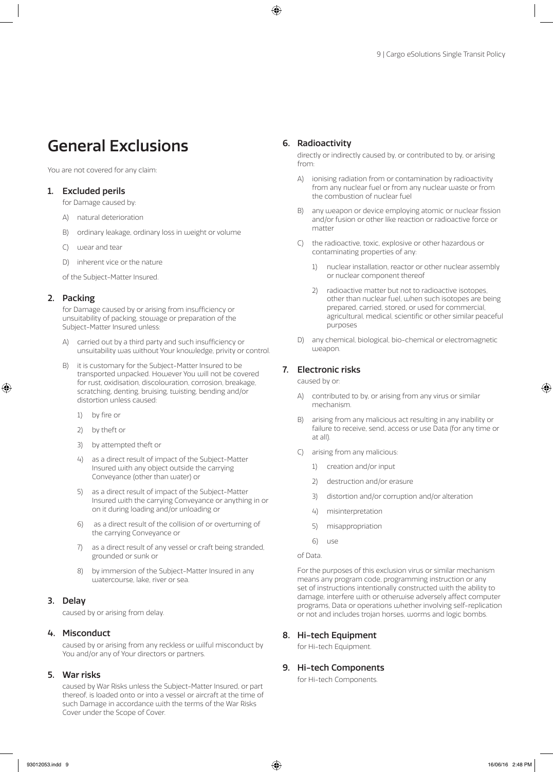# General Exclusions

You are not covered for any claim:

#### 1. Excluded perils

- for Damage caused by:
- A) natural deterioration
- B) ordinary leakage, ordinary loss in weight or volume
- C) wear and tear
- D) inherent vice or the nature
- of the Subject-Matter Insured.

#### 2. Packing

for Damage caused by or arising from insufficiency or unsuitability of packing, stowage or preparation of the Subject-Matter Insured unless:

- A) carried out by a third party and such insufficiency or unsuitability was without Your knowledge, privity or control.
- B) it is customary for the Subject-Matter Insured to be transported unpacked. However You will not be covered for rust, oxidisation, discolouration, corrosion, breakage, scratching, denting, bruising, twisting, bending and/or distortion unless caused:
	- 1) by fire or
	- 2) by theft or
	- 3) by attempted theft or
	- 4) as a direct result of impact of the Subject-Matter Insured with any object outside the carrying Conveyance (other than water) or
	- 5) as a direct result of impact of the Subject-Matter Insured with the carrying Conveyance or anything in or on it during loading and/or unloading or
	- 6) as a direct result of the collision of or overturning of the carrying Conveyance or
	- 7) as a direct result of any vessel or craft being stranded, grounded or sunk or
	- 8) by immersion of the Subject-Matter Insured in any watercourse, lake, river or sea.

#### 3. Delay

caused by or arising from delay.

#### 4. Misconduct

caused by or arising from any reckless or wilful misconduct by You and/or any of Your directors or partners.

#### 5. War risks

caused by War Risks unless the Subject-Matter Insured, or part thereof, is loaded onto or into a vessel or aircraft at the time of such Damage in accordance with the terms of the War Risks Cover under the Scope of Cover.

#### 6. Radioactivity

directly or indirectly caused by, or contributed to by, or arising from:

- A) ionising radiation from or contamination by radioactivity from any nuclear fuel or from any nuclear waste or from the combustion of nuclear fuel
- B) any weapon or device employing atomic or nuclear fission and/or fusion or other like reaction or radioactive force or matter
- C) the radioactive, toxic, explosive or other hazardous or contaminating properties of any:
	- 1) nuclear installation, reactor or other nuclear assembly or nuclear component thereof
	- 2) radioactive matter but not to radioactive isotopes, other than nuclear fuel, when such isotopes are being prepared, carried, stored, or used for commercial, agricultural, medical, scientific or other similar peaceful purposes
- D) any chemical, biological, bio-chemical or electromagnetic weapon.

#### 7. Electronic risks

caused by or:

- A) contributed to by, or arising from any virus or similar mechanism.
- B) arising from any malicious act resulting in any inability or failure to receive, send, access or use Data (for any time or at all).
- C) arising from any malicious:
	- 1) creation and/or input
	- 2) destruction and/or erasure
	- 3) distortion and/or corruption and/or alteration
	- 4) misinterpretation
	- 5) misappropriation
	- 6) use

For the purposes of this exclusion virus or similar mechanism means any program code, programming instruction or any set of instructions intentionally constructed with the ability to damage, interfere with or otherwise adversely affect computer programs, Data or operations whether involving self-replication or not and includes trojan horses, worms and logic bombs.

#### 8. Hi-tech Equipment

for Hi-tech Equipment.

#### 9. Hi-tech Components

for Hi-tech Components.

of Data.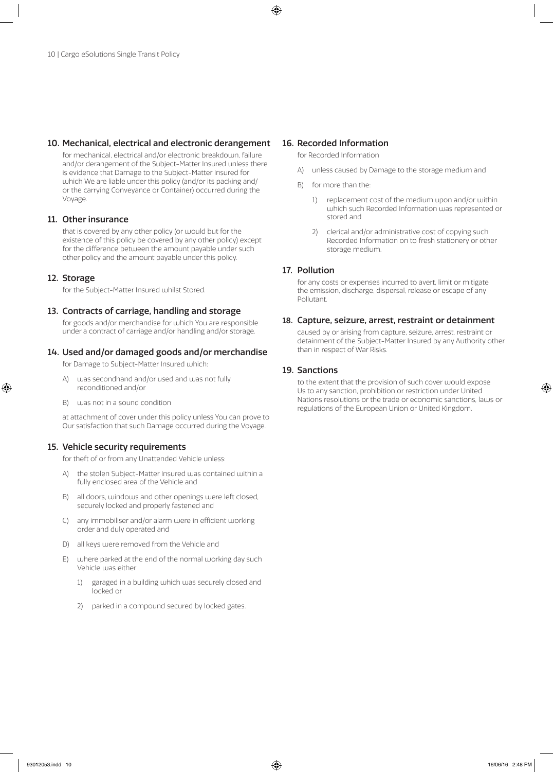#### 10. Mechanical, electrical and electronic derangement

for mechanical, electrical and/or electronic breakdown, failure and/or derangement of the Subject-Matter Insured unless there is evidence that Damage to the Subject-Matter Insured for which We are liable under this policy (and/or its packing and/ or the carrying Conveyance or Container) occurred during the Voyage.

#### 11. Other insurance

that is covered by any other policy (or would but for the existence of this policy be covered by any other policy) except for the difference between the amount payable under such other policy and the amount payable under this policy.

#### 12. Storage

for the Subject-Matter Insured whilst Stored.

#### 13. Contracts of carriage, handling and storage

for goods and/or merchandise for which You are responsible under a contract of carriage and/or handling and/or storage.

#### 14. Used and/or damaged goods and/or merchandise

for Damage to Subject-Matter Insured which:

- A) was secondhand and/or used and was not fully reconditioned and/or
- B) was not in a sound condition

at attachment of cover under this policy unless You can prove to Our satisfaction that such Damage occurred during the Voyage.

#### 15. Vehicle security requirements

for theft of or from any Unattended Vehicle unless:

- A) the stolen Subject-Matter Insured was contained within a fully enclosed area of the Vehicle and
- B) all doors, windows and other openings were left closed, securely locked and properly fastened and
- C) any immobiliser and/or alarm were in efficient working order and duly operated and
- D) all keys were removed from the Vehicle and
- E) where parked at the end of the normal working day such Vehicle was either
	- 1) garaged in a building which was securely closed and locked or
	- 2) parked in a compound secured by locked gates.

#### 16. Recorded Information

for Recorded Information

- A) unless caused by Damage to the storage medium and
- B) for more than the:
	- 1) replacement cost of the medium upon and/or within which such Recorded Information was represented or stored and
	- 2) clerical and/or administrative cost of copying such Recorded Information on to fresh stationery or other storage medium.

#### 17. Pollution

for any costs or expenses incurred to avert, limit or mitigate the emission, discharge, dispersal, release or escape of any Pollutant.

#### 18. Capture, seizure, arrest, restraint or detainment

 caused by or arising from capture, seizure, arrest, restraint or detainment of the Subject-Matter Insured by any Authority other than in respect of War Risks.

#### 19. Sanctions

to the extent that the provision of such cover would expose Us to any sanction, prohibition or restriction under United Nations resolutions or the trade or economic sanctions, laws or regulations of the European Union or United Kingdom.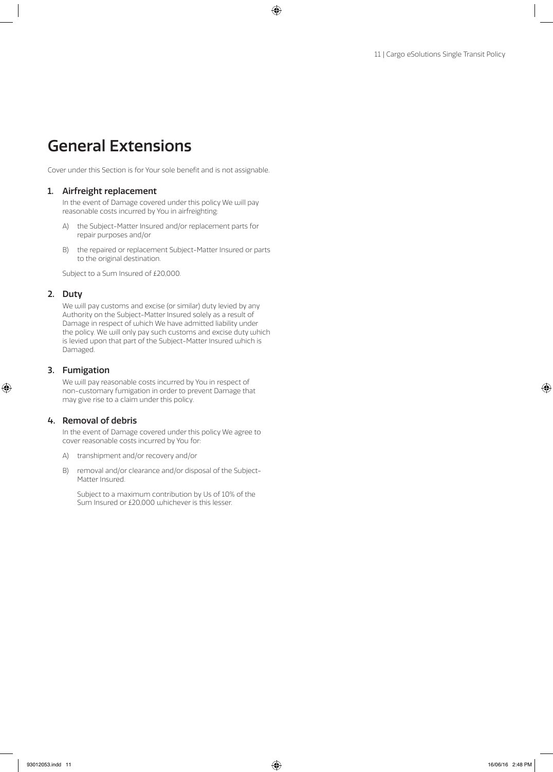# General Extensions

Cover under this Section is for Your sole benefit and is not assignable.

#### 1. Airfreight replacement

In the event of Damage covered under this policy We will pay reasonable costs incurred by You in airfreighting:

- A) the Subject-Matter Insured and/or replacement parts for repair purposes and/or
- B) the repaired or replacement Subject-Matter Insured or parts to the original destination.

Subject to a Sum Insured of £20,000.

#### 2. Duty

We will pay customs and excise (or similar) duty levied by any Authority on the Subject-Matter Insured solely as a result of Damage in respect of which We have admitted liability under the policy. We will only pay such customs and excise duty which is levied upon that part of the Subject-Matter Insured which is Damaged.

#### 3. Fumigation

We will pay reasonable costs incurred by You in respect of non-customary fumigation in order to prevent Damage that may give rise to a claim under this policy.

#### 4. Removal of debris

In the event of Damage covered under this policy We agree to cover reasonable costs incurred by You for:

- A) transhipment and/or recovery and/or
- B) removal and/or clearance and/or disposal of the Subject-Matter Insured.

Subject to a maximum contribution by Us of 10% of the Sum Insured or £20,000 whichever is this lesser.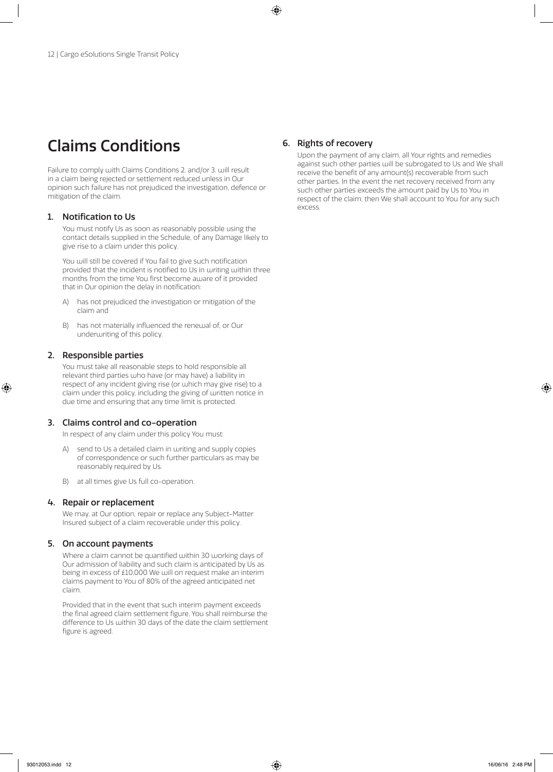# Claims Conditions

Failure to comply with Claims Conditions 2. and/or 3. will result in a claim being rejected or settlement reduced unless in Our opinion such failure has not prejudiced the investigation, defence or mitigation of the claim.

#### 1. Notification to Us

You must notify Us as soon as reasonably possible using the contact details supplied in the Schedule, of any Damage likely to give rise to a claim under this policy.

You will still be covered if You fail to give such notification provided that the incident is notified to Us in writing within three months from the time You first become aware of it provided that in Our opinion the delay in notification:

- A) has not prejudiced the investigation or mitigation of the claim and
- B) has not materially influenced the renewal of, or Our underwriting of this policy.

#### 2. Responsible parties

You must take all reasonable steps to hold responsible all relevant third parties who have (or may have) a liability in respect of any incident giving rise (or which may give rise) to a claim under this policy, including the giving of written notice in due time and ensuring that any time limit is protected.

#### 3. Claims control and co-operation

In respect of any claim under this policy You must:

- A) send to Us a detailed claim in writing and supply copies of correspondence or such further particulars as may be reasonably required by Us.
- B) at all times give Us full co-operation.

#### 4. Repair or replacement

We may, at Our option, repair or replace any Subject-Matter Insured subject of a claim recoverable under this policy.

#### 5. On account payments

Where a claim cannot be quantified within 30 working days of Our admission of liability and such claim is anticipated by Us as being in excess of £10,000 We will on request make an interim claims payment to You of 80% of the agreed anticipated net claim.

Provided that in the event that such interim payment exceeds the final agreed claim settlement figure, You shall reimburse the difference to Us within 30 days of the date the claim settlement figure is agreed.

#### 6. Rights of recovery

Upon the payment of any claim, all Your rights and remedies against such other parties will be subrogated to Us and We shall receive the benefit of any amount(s) recoverable from such other parties. In the event the net recovery received from any such other parties exceeds the amount paid by Us to You in respect of the claim, then We shall account to You for any such excess.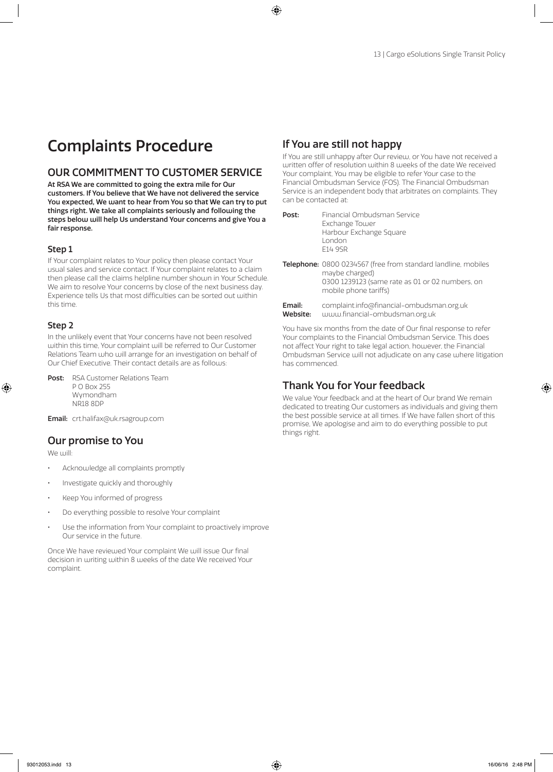# Complaints Procedure

# OUR COMMITMENT TO CUSTOMER SERVICE

At RSA We are committed to going the extra mile for Our customers. If You believe that We have not delivered the service You expected, We want to hear from You so that We can try to put things right. We take all complaints seriously and following the steps below will help Us understand Your concerns and give You a fair response.

#### Step 1

If Your complaint relates to Your policy then please contact Your usual sales and service contact. If Your complaint relates to a claim then please call the claims helpline number shown in Your Schedule. We aim to resolve Your concerns by close of the next business day. Experience tells Us that most difficulties can be sorted out within this time.

#### Step 2

In the unlikely event that Your concerns have not been resolved within this time, Your complaint will be referred to Our Customer Relations Team who will arrange for an investigation on behalf of Our Chief Executive. Their contact details are as follows:

Post: RSA Customer Relations Team P O Box 255 Wymondham NR18 8DP

Email: crt.halifax@uk.rsagroup.com

## Our promise to You

We will:

- Acknowledge all complaints promptly
- Investigate quickly and thoroughly
- Keep You informed of progress
- Do everything possible to resolve Your complaint
- Use the information from Your complaint to proactively improve Our service in the future.

Once We have reviewed Your complaint We will issue Our final decision in writing within 8 weeks of the date We received Your complaint.

# If You are still not happy

If You are still unhappy after Our review, or You have not received a written offer of resolution within 8 weeks of the date We received Your complaint, You may be eligible to refer Your case to the Financial Ombudsman Service (FOS). The Financial Ombudsman Service is an independent body that arbitrates on complaints. They can be contacted at:

- Post: Financial Ombudsman Service Exchange Tower Harbour Exchange Square London E14 9SR
- Telephone: 0800 0234567 (free from standard landline, mobiles maybe charged) 0300 1239123 (same rate as 01 or 02 numbers, on mobile phone tariffs)
- Email: complaint.info@financial-ombudsman.org.uk Website: www.financial-ombudsman.org.uk

You have six months from the date of Our final response to refer Your complaints to the Financial Ombudsman Service. This does not affect Your right to take legal action, however, the Financial Ombudsman Service will not adjudicate on any case where litigation has commenced.

## Thank You for Your feedback

We value Your feedback and at the heart of Our brand We remain dedicated to treating Our customers as individuals and giving them the best possible service at all times. If We have fallen short of this promise, We apologise and aim to do everything possible to put things right.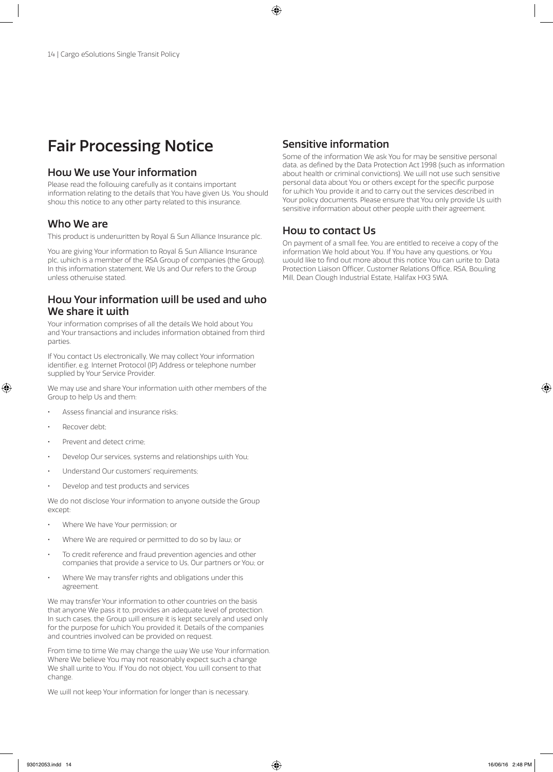# Fair Processing Notice

## How We use Your information

Please read the following carefully as it contains important information relating to the details that You have given Us. You should show this notice to any other party related to this insurance.

#### Who We are

This product is underwritten by Royal & Sun Alliance Insurance plc.

You are giving Your information to Royal & Sun Alliance Insurance plc, which is a member of the RSA Group of companies (the Group). In this information statement, We Us and Our refers to the Group unless otherwise stated.

#### How Your information will be used and who We share it with

Your information comprises of all the details We hold about You and Your transactions and includes information obtained from third parties.

If You contact Us electronically, We may collect Your information identifier, e.g. Internet Protocol (IP) Address or telephone number supplied by Your Service Provider.

We may use and share Your information with other members of the Group to help Us and them:

- Assess financial and insurance risks;
- Recover debt;
- Prevent and detect crime:
- Develop Our services, systems and relationships with You;
- Understand Our customers' requirements:
- Develop and test products and services

We do not disclose Your information to anyone outside the Group except:

- Where We have Your permission; or
- Where We are required or permitted to do so by law; or
- To credit reference and fraud prevention agencies and other companies that provide a service to Us, Our partners or You; or
- Where We may transfer rights and obligations under this agreement.

We may transfer Your information to other countries on the basis that anyone We pass it to, provides an adequate level of protection. In such cases, the Group will ensure it is kept securely and used only for the purpose for which You provided it. Details of the companies and countries involved can be provided on request.

From time to time We may change the way We use Your information. Where We believe You may not reasonably expect such a change We shall write to You. If You do not object, You will consent to that change.

We will not keep Your information for longer than is necessary.

## Sensitive information

Some of the information We ask You for may be sensitive personal data, as defined by the Data Protection Act 1998 (such as information about health or criminal convictions). We will not use such sensitive personal data about You or others except for the specific purpose for which You provide it and to carry out the services described in Your policy documents. Please ensure that You only provide Us with sensitive information about other people with their agreement.

### How to contact Us

On payment of a small fee, You are entitled to receive a copy of the information We hold about You. If You have any questions, or You would like to find out more about this notice You can write to: Data Protection Liaison Officer, Customer Relations Office, RSA, Bowling Mill, Dean Clough Industrial Estate, Halifax HX3 5WA.